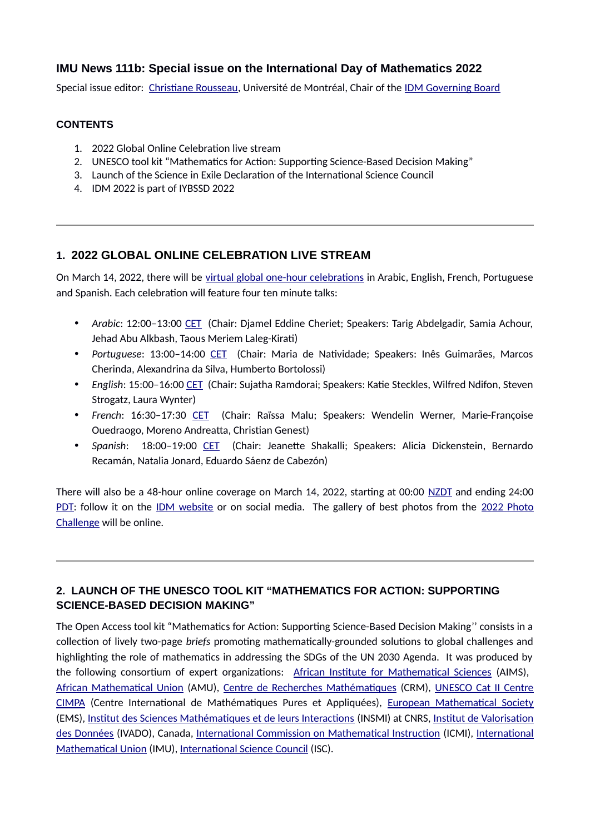## **IMU News 111b: Special issue on the International Day of Mathematics 2022**

Special issue editor: [Christiane Rousseau](https://recherche.umontreal.ca/english/our-researchers/professors-directory/researcher/is/in13823/), Université de Montréal, Chair of the [IDM Governing Board](https://www.mathunion.org/outreach/IDM)

#### **CONTENTS**

- 1. 2022 Global Online Celebration live stream
- 2. UNESCO tool kit "Mathematics for Action: Supporting Science-Based Decision Making"
- 3. Launch of the Science in Exile Declaration of the International Science Council
- 4. IDM 2022 is part of IYBSSD 2022

## **1. 2022 GLOBAL ONLINE CELEBRATION LIVE STREAM**

On March 14, 2022, there will be [virtual global one-hour celebrations](https://www.idm314.org/2022-global-event-program.html) in Arabic, English, French, Portuguese and Spanish. Each celebration will feature four ten minute talks:

- *Arabic*: 12:00–13:00 [CET](https://www.timeanddate.com/worldclock/france/paris) (Chair: Djamel Eddine Cheriet; Speakers: Tarig Abdelgadir, Samia Achour, Jehad Abu Alkbash, Taous Meriem Laleg-Kirati)
- *Portuguese*: 13:00–14:00 [CET](https://www.timeanddate.com/worldclock/france/paris) (Chair: Maria de Natividade; Speakers: Inês Guimarães, Marcos Cherinda, Alexandrina da Silva, Humberto Bortolossi)
- *English*: 15:00–16:00 [CET](https://www.timeanddate.com/worldclock/france/paris) (Chair: Sujatha Ramdorai; Speakers: Katie Steckles, Wilfred Ndifon, Steven Strogatz, Laura Wynter)
- *French*: 16:30–17:30 [CET](https://www.timeanddate.com/worldclock/france/paris) (Chair: Raïssa Malu; Speakers: Wendelin Werner, Marie-Françoise Ouedraogo, Moreno Andreatta, Christian Genest)
- *Spanish*: 18:00–19:00 [CET](https://www.timeanddate.com/worldclock/france/paris) (Chair: Jeanette Shakalli; Speakers: Alicia Dickenstein, Bernardo Recamán, Natalia Jonard, Eduardo Sáenz de Cabezón)

There will also be a 48-hour online coverage on March 14, 2022, starting at 00:00 [NZDT](https://www.timeanddate.com/worldclock/new-zealand) and ending 24:00 [PDT](https://www.timeanddate.com/worldclock/usa/san-francisco): follow it on the [IDM website](https://www.idm314.org/) or on social media. The gallery of best photos from the [2022 Photo](https://www.idm314.org/2022-photo-challenge.html) [Challenge](https://www.idm314.org/2022-photo-challenge.html) will be online.

## **2. LAUNCH OF THE UNESCO TOOL KIT "MATHEMATICS FOR ACTION: SUPPORTING SCIENCE-BASED DECISION MAKING"**

The Open Access tool kit "Mathematics for Action: Supporting Science-Based Decision Making'' consists in a collection of lively two-page *briefs* promoting mathematically-grounded solutions to global challenges and highlighting the role of mathematics in addressing the SDGs of the UN 2030 Agenda. It was produced by the following consortium of expert organizations: [African Institute for Mathematical Sciences](https://nexteinstein.org/) (AIMS), [African Mathematical Union](https://www.africamathunion.org/) (AMU), [Centre de Recherches Mathématiques](http://www.crm.umontreal.ca/en/index.shtml) (CRM), [UNESCO Cat II Centre](https://www.cimpa.info/) [CIMPA](https://www.cimpa.info/) (Centre International de Mathématiques Pures et Appliquées), [European Mathematical Society](https://euromathsoc.org/) (EMS), [Institut des Sciences Mathématiques et de leurs Interactions](https://www.insmi.cnrs.fr/) (INSMI) at CNRS, [Institut de Valorisation](https://ivado.ca/en/) [des Données](https://ivado.ca/en/) (IVADO), Canada, [International Commission on Mathematical Instruction](https://www.mathunion.org/icmi) (ICMI), [International](https://www.mathunion.org/) [Mathematical Union](https://www.mathunion.org/) (IMU), [International Science Council](https://council.science/) (ISC).